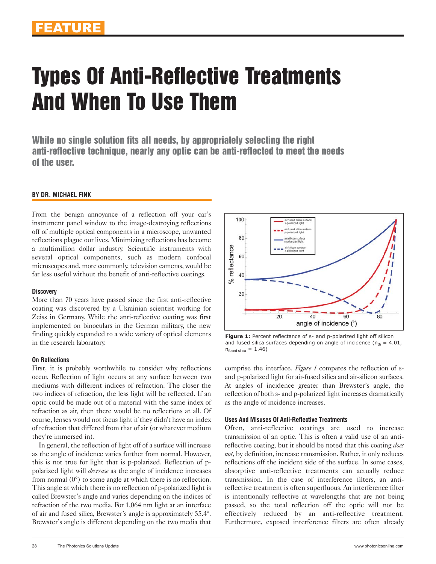# Types Of Anti-Reflective Treatments And When To Use Them

While no single solution fits all needs, by appropriately selecting the right anti-reflective technique, nearly any optic can be anti-reflected to meet the needs of the user.

## **BY DR. MICHAEL FINK**

From the benign annoyance of a reflection off your car's instrument panel window to the image-destroying reflections off of multiple optical components in a microscope, unwanted reflections plague our lives. Minimizing reflections has become a multimillion dollar industry. Scientific instruments with several optical components, such as modern confocal microscopes and, more commonly, television cameras, would be far less useful without the benefit of anti-reflective coatings.

## **Discovery**

More than 70 years have passed since the first anti-reflective coating was discovered by a Ukrainian scientist working for Zeiss in Germany. While the anti-reflective coating was first implemented on binoculars in the German military, the new finding quickly expanded to a wide variety of optical elements in the research laboratory.

## **On Reflections**

First, it is probably worthwhile to consider why reflections occur. Reflection of light occurs at any surface between two mediums with different indices of refraction. The closer the two indices of refraction, the less light will be reflected. If an optic could be made out of a material with the same index of refraction as air, then there would be no reflections at all. Of course, lenses would not focus light if they didn't have an index of refraction that differed from that of air (or whatever medium they're immersed in).

In general, the reflection of light off of a surface will increase as the angle of incidence varies further from normal. However, this is not true for light that is p-polarized. Reflection of ppolarized light will *decrease* as the angle of incidence increases from normal  $(0^{\circ})$  to some angle at which there is no reflection. This angle at which there is no reflection of p-polarized light is called Brewster's angle and varies depending on the indices of refraction of the two media. For 1,064 nm light at an interface of air and fused silica, Brewster's angle is approximately 55.4°. Brewster's angle is different depending on the two media that



Figure 1: Percent reflectance of s- and p-polarized light off silicon and fused silica surfaces depending on angle of incidence ( $n_{Si} = 4.01$ ,  $n_{\text{fused silica}} = 1.46$ )

comprise the interface. *Figure 1* compares the reflection of sand p-polarized light for air-fused silica and air-silicon surfaces. At angles of incidence greater than Brewster's angle, the reflection of both s- and p-polarized light increases dramatically as the angle of incidence increases.

## **Uses And Misuses Of Anti-Reflective Treatments**

Often, anti-reflective coatings are used to increase transmission of an optic. This is often a valid use of an antireflective coating, but it should be noted that this coating *does not*, by definition, increase transmission. Rather, it only reduces reflections off the incident side of the surface. In some cases, absorptive anti-reflective treatments can actually reduce transmission. In the case of interference filters, an antireflective treatment is often superfluous. An interference filter is intentionally reflective at wavelengths that are not being passed, so the total reflection off the optic will not be effectively reduced by an anti-reflective treatment. Furthermore, exposed interference filters are often already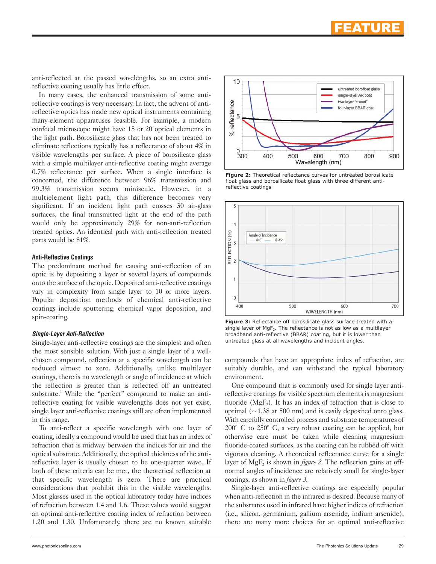anti-reflected at the passed wavelengths, so an extra antireflective coating usually has little effect.

In many cases, the enhanced transmission of some antireflective coatings is very necessary. In fact, the advent of antireflective optics has made new optical instruments containing many-element apparatuses feasible. For example, a modern confocal microscope might have 15 or 20 optical elements in the light path. Borosilicate glass that has not been treated to eliminate reflections typically has a reflectance of about 4% in visible wavelengths per surface. A piece of borosilicate glass with a simple multilayer anti-reflective coating might average 0.7% reflectance per surface. When a single interface is concerned, the difference between 96% transmission and 99.3% transmission seems miniscule. However, in a multielement light path, this difference becomes very significant. If an incident light path crosses 30 air-glass surfaces, the final transmitted light at the end of the path would only be approximately 29% for non-anti-reflection treated optics. An identical path with anti-reflection treated parts would be 81%.

#### **Anti-Reflective Coatings**

The predominant method for causing anti-reflection of an optic is by depositing a layer or several layers of compounds onto the surface of the optic. Deposited anti-reflective coatings vary in complexity from single layer to 10 or more layers. Popular deposition methods of chemical anti-reflective coatings include sputtering, chemical vapor deposition, and spin-coating.

## **Single-Layer Anti-Reflection**

Single-layer anti-reflective coatings are the simplest and often the most sensible solution. With just a single layer of a wellchosen compound, reflection at a specific wavelength can be reduced almost to zero. Additionally, unlike multilayer coatings, there is no wavelength or angle of incidence at which the reflection is greater than is reflected off an untreated substrate.<sup>1</sup> While the "perfect" compound to make an antireflective coating for visible wavelengths does not yet exist, single layer anti-reflective coatings still are often implemented in this range.

To anti-reflect a specific wavelength with one layer of coating, ideally a compound would be used that has an index of refraction that is midway between the indices for air and the optical substrate. Additionally, the optical thickness of the antireflective layer is usually chosen to be one-quarter wave. If both of these criteria can be met, the theoretical reflection at that specific wavelength is zero. There are practical considerations that prohibit this in the visible wavelengths. Most glasses used in the optical laboratory today have indices of refraction between 1.4 and 1.6. These values would suggest an optimal anti-reflective coating index of refraction between 1.20 and 1.30. Unfortunately, there are no known suitable



**Figure 2:** Theoretical reflectance curves for untreated borosilicate float glass and borosilicate float glass with three different antireflective coatings



**Figure 3:** Reflectance off borosilicate glass surface treated with a single layer of  $MgF_2$ . The reflectance is not as low as a multilayer broadband anti-reflective (BBAR) coating, but it is lower than untreated glass at all wavelengths and incident angles.

compounds that have an appropriate index of refraction, are suitably durable, and can withstand the typical laboratory environment.

One compound that is commonly used for single layer antireflective coatings for visible spectrum elements is magnesium fluoride  $(MgF_2)$ . It has an index of refraction that is close to optimal  $(-1.38$  at 500 nm) and is easily deposited onto glass. With carefully controlled process and substrate temperatures of 200° C to 250° C, a very robust coating can be applied, but otherwise care must be taken while cleaning magnesium fluoride-coated surfaces, as the coating can be rubbed off with vigorous cleaning. A theoretical reflectance curve for a single layer of  $MgF_2$  is shown in *figure 2*. The reflection gains at offnormal angles of incidence are relatively small for single-layer coatings, as shown in *figure 3*.

Single-layer anti-reflective coatings are especially popular when anti-reflection in the infrared is desired. Because many of the substrates used in infrared have higher indices of refraction (i.e., silicon, germanium, gallium arsenide, indium arsenide), there are many more choices for an optimal anti-reflective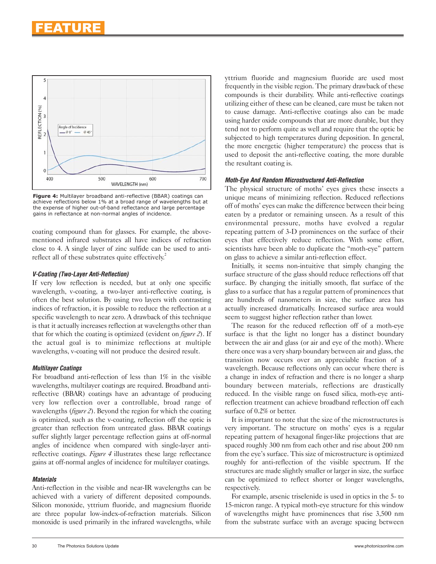

**Figure 4:** Multilayer broadband anti-reflective (BBAR) coatings can achieve reflections below 1% at a broad range of wavelengths but at the expense of higher out-of-band reflectance and large percentage gains in reflectance at non-normal angles of incidence.

coating compound than for glasses. For example, the abovementioned infrared substrates all have indices of refraction close to 4. A single layer of zinc sulfide can be used to antireflect all of these substrates quite effectively.<sup>2</sup>

## **V-Coating (Two-Layer Anti-Reflection)**

If very low reflection is needed, but at only one specific wavelength, v-coating, a two-layer anti-reflective coating, is often the best solution. By using two layers with contrasting indices of refraction, it is possible to reduce the reflection at a specific wavelength to near zero. A drawback of this technique is that it actually increases reflection at wavelengths other than that for which the coating is optimized (evident on *figure 2*). If the actual goal is to minimize reflections at multiple wavelengths, v-coating will not produce the desired result.

## **Multilayer Coatings**

For broadband anti-reflection of less than 1% in the visible wavelengths, multilayer coatings are required. Broadband antireflective (BBAR) coatings have an advantage of producing very low reflection over a controllable, broad range of wavelengths (*figure 2*). Beyond the region for which the coating is optimized, such as the v-coating, reflection off the optic is greater than reflection from untreated glass. BBAR coatings suffer slightly larger percentage reflection gains at off-normal angles of incidence when compared with single-layer antireflective coatings. *Figure 4* illustrates these large reflectance gains at off-normal angles of incidence for multilayer coatings.

## **Materials**

Anti-reflection in the visible and near-IR wavelengths can be achieved with a variety of different deposited compounds. Silicon monoxide, yttrium fluoride, and magnesium fluoride are three popular low-index-of-refraction materials. Silicon monoxide is used primarily in the infrared wavelengths, while yttrium fluoride and magnesium fluoride are used most frequently in the visible region. The primary drawback of these compounds is their durability. While anti-reflective coatings utilizing either of these can be cleaned, care must be taken not to cause damage. Anti-reflective coatings also can be made using harder oxide compounds that are more durable, but they tend not to perform quite as well and require that the optic be subjected to high temperatures during deposition. In general, the more energetic (higher temperature) the process that is used to deposit the anti-reflective coating, the more durable the resultant coating is.

## **Moth-Eye And Random Microstructured Anti-Reflection**

The physical structure of moths' eyes gives these insects a unique means of minimizing reflection. Reduced reflections off of moths' eyes can make the difference between their being eaten by a predator or remaining unseen. As a result of this environmental pressure, moths have evolved a regular repeating pattern of 3-D prominences on the surface of their eyes that effectively reduce reflection. With some effort, scientists have been able to duplicate the "moth-eye" pattern on glass to achieve a similar anti-reflection effect.

Initially, it seems non-intuitive that simply changing the surface structure of the glass should reduce reflections off that surface. By changing the initially smooth, flat surface of the glass to a surface that has a regular pattern of prominences that are hundreds of nanometers in size, the surface area has actually increased dramatically. Increased surface area would seem to suggest higher reflection rather than lower.

The reason for the reduced reflection off of a moth-eye surface is that the light no longer has a distinct boundary between the air and glass (or air and eye of the moth). Where there once was a very sharp boundary between air and glass, the transition now occurs over an appreciable fraction of a wavelength. Because reflections only can occur where there is a change in index of refraction and there is no longer a sharp boundary between materials, reflections are drastically reduced. In the visible range on fused silica, moth-eye antireflection treatment can achieve broadband reflection off each surface of 0.2% or better.

It is important to note that the size of the microstructures is very important. The structure on moths' eyes is a regular repeating pattern of hexagonal finger-like projections that are spaced roughly 300 nm from each other and rise about 200 nm from the eye's surface. This size of microstructure is optimized roughly for anti-reflection of the visible spectrum. If the structures are made slightly smaller or larger in size, the surface can be optimized to reflect shorter or longer wavelengths, respectively.

For example, arsenic triselenide is used in optics in the 5- to 15-micron range. A typical moth-eye structure for this window of wavelengths might have prominences that rise 3,500 nm from the substrate surface with an average spacing between